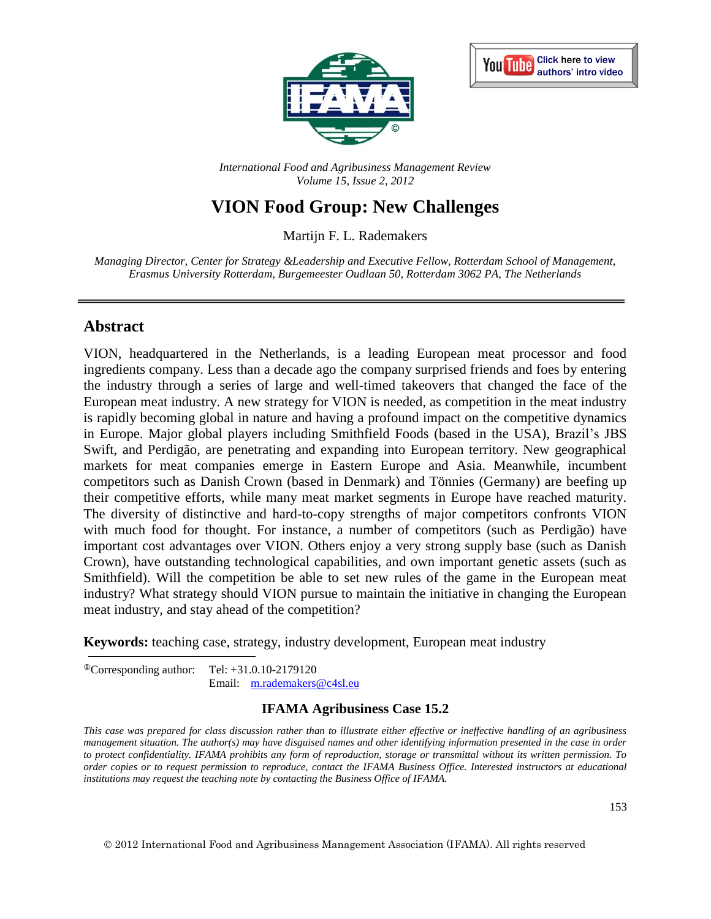



*International Food and Agribusiness Management Review Volume 15, Issue 2, 2012*

# **VION Food Group: New Challenges**

Martijn F. L. Rademakers

*Managing Director, Center for Strategy &Leadership and Executive Fellow, Rotterdam School of Management, Erasmus University Rotterdam, Burgemeester Oudlaan 50, Rotterdam 3062 PA, The Netherlands*

### **Abstract**

VION, headquartered in the Netherlands, is a leading European meat processor and food ingredients company. Less than a decade ago the company surprised friends and foes by entering the industry through a series of large and well-timed takeovers that changed the face of the European meat industry. A new strategy for VION is needed, as competition in the meat industry is rapidly becoming global in nature and having a profound impact on the competitive dynamics in Europe. Major global players including Smithfield Foods (based in the USA), Brazil's JBS Swift, and Perdigão, are penetrating and expanding into European territory. New geographical markets for meat companies emerge in Eastern Europe and Asia. Meanwhile, incumbent competitors such as Danish Crown (based in Denmark) and Tönnies (Germany) are beefing up their competitive efforts, while many meat market segments in Europe have reached maturity. The diversity of distinctive and hard-to-copy strengths of major competitors confronts VION with much food for thought. For instance, a number of competitors (such as Perdigão) have important cost advantages over VION. Others enjoy a very strong supply base (such as Danish Crown), have outstanding technological capabilities, and own important genetic assets (such as Smithfield). Will the competition be able to set new rules of the game in the European meat industry? What strategy should VION pursue to maintain the initiative in changing the European meat industry, and stay ahead of the competition?

**Keywords:** teaching case, strategy, industry development, European meat industry

Corresponding author: Tel: +31.0.10-2179120 Email: [m.rademakers@c4sl.eu](mailto:m.rademakers@c4sl.eu)

### **IFAMA Agribusiness Case 15.2**

*This case was prepared for class discussion rather than to illustrate either effective or ineffective handling of an agribusiness management situation. The author(s) may have disguised names and other identifying information presented in the case in order to protect confidentiality. IFAMA prohibits any form of reproduction, storage or transmittal without its written permission. To order copies or to request permission to reproduce, contact the IFAMA Business Office. Interested instructors at educational institutions may request the teaching note by contacting the Business Office of IFAMA.*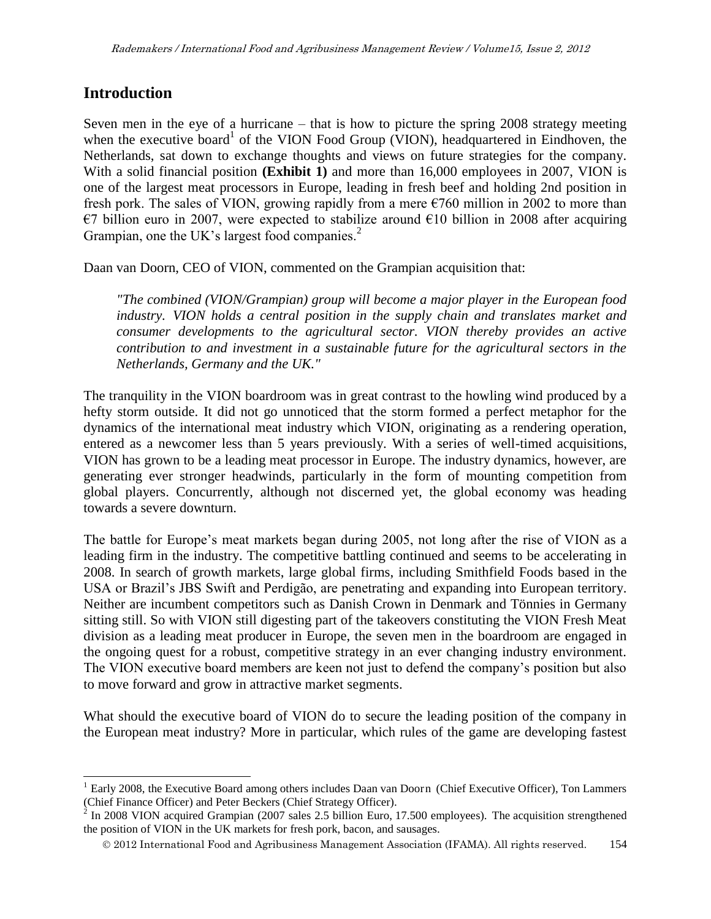### **Introduction**

 $\overline{a}$ 

Seven men in the eye of a hurricane – that is how to picture the spring 2008 strategy meeting when the executive board<sup>1</sup> of the VION Food Group (VION), headquartered in Eindhoven, the Netherlands, sat down to exchange thoughts and views on future strategies for the company. With a solid financial position **(Exhibit 1)** and more than 16,000 employees in 2007, VION is one of the largest meat processors in Europe, leading in fresh beef and holding 2nd position in fresh pork. The sales of VION, growing rapidly from a mere  $\epsilon$ 760 million in 2002 to more than €7 billion euro in 2007, were expected to stabilize around €10 billion in 2008 after acquiring Grampian, one the UK's largest food companies.<sup>2</sup>

Daan van Doorn, CEO of VION, commented on the Grampian acquisition that:

*"The combined (VION/Grampian) group will become a major player in the European food industry. VION holds a central position in the supply chain and translates market and consumer developments to the agricultural sector. VION thereby provides an active contribution to and investment in a sustainable future for the agricultural sectors in the Netherlands, Germany and the UK."*

The tranquility in the VION boardroom was in great contrast to the howling wind produced by a hefty storm outside. It did not go unnoticed that the storm formed a perfect metaphor for the dynamics of the international meat industry which VION, originating as a rendering operation, entered as a newcomer less than 5 years previously. With a series of well-timed acquisitions, VION has grown to be a leading meat processor in Europe. The industry dynamics, however, are generating ever stronger headwinds, particularly in the form of mounting competition from global players. Concurrently, although not discerned yet, the global economy was heading towards a severe downturn.

The battle for Europe's meat markets began during 2005, not long after the rise of VION as a leading firm in the industry. The competitive battling continued and seems to be accelerating in 2008. In search of growth markets, large global firms, including Smithfield Foods based in the USA or Brazil's JBS Swift and Perdigão, are penetrating and expanding into European territory. Neither are incumbent competitors such as Danish Crown in Denmark and Tönnies in Germany sitting still. So with VION still digesting part of the takeovers constituting the VION Fresh Meat division as a leading meat producer in Europe, the seven men in the boardroom are engaged in the ongoing quest for a robust, competitive strategy in an ever changing industry environment. The VION executive board members are keen not just to defend the company's position but also to move forward and grow in attractive market segments.

What should the executive board of VION do to secure the leading position of the company in the European meat industry? More in particular, which rules of the game are developing fastest

<sup>1</sup> Early 2008, the Executive Board among others includes Daan van Doorn (Chief Executive Officer), Ton Lammers (Chief Finance Officer) and Peter Beckers (Chief Strategy Officer).<br><sup>2</sup> In 2008 VION acquired Grampian (2007 sales 2.5 billion Euro, 17.500 employees). The acquisition strengthened

the position of VION in the UK markets for fresh pork, bacon, and sausages.

2012 International Food and Agribusiness Management Association (IFAMA). All rights reserved. 154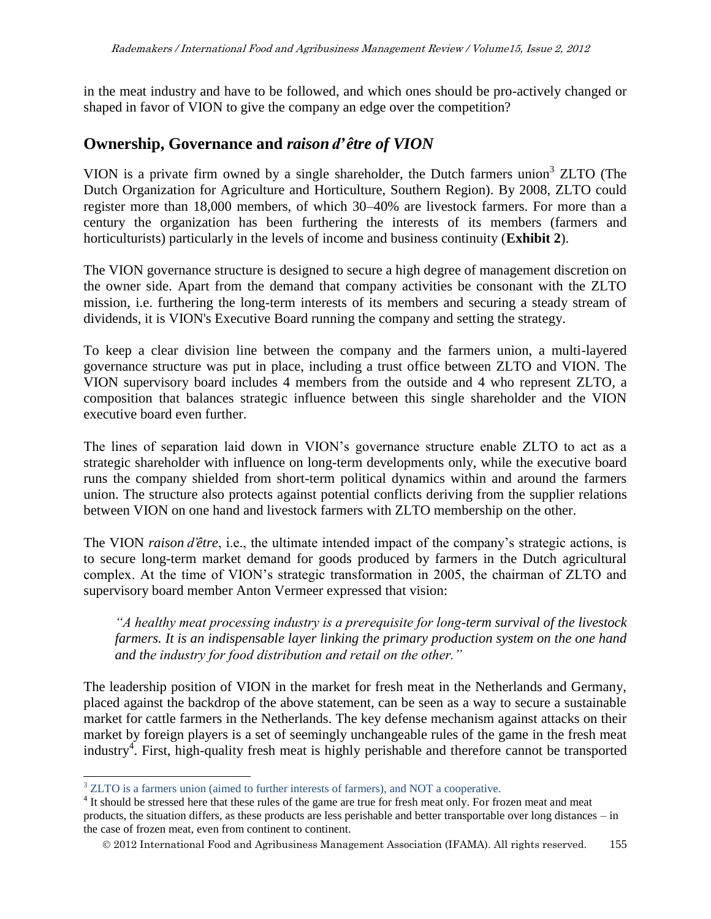in the meat industry and have to be followed, and which ones should be pro-actively changed or shaped in favor of VION to give the company an edge over the competition?

### **Ownership, Governance and** *raison d' être of VION*

VION is a private firm owned by a single shareholder, the Dutch farmers union<sup>3</sup> ZLTO (The Dutch Organization for Agriculture and Horticulture, Southern Region). By 2008, ZLTO could register more than 18,000 members, of which 30–40% are livestock farmers. For more than a century the organization has been furthering the interests of its members (farmers and horticulturists) particularly in the levels of income and business continuity (**Exhibit 2**).

The VION governance structure is designed to secure a high degree of management discretion on the owner side. Apart from the demand that company activities be consonant with the ZLTO mission, i.e. furthering the long-term interests of its members and securing a steady stream of dividends, it is VION's Executive Board running the company and setting the strategy.

To keep a clear division line between the company and the farmers union, a multi-layered governance structure was put in place, including a trust office between ZLTO and VION. The VION supervisory board includes 4 members from the outside and 4 who represent ZLTO, a composition that balances strategic influence between this single shareholder and the VION executive board even further.

The lines of separation laid down in VION's governance structure enable ZLTO to act as a strategic shareholder with influence on long-term developments only, while the executive board runs the company shielded from short-term political dynamics within and around the farmers union. The structure also protects against potential conflicts deriving from the supplier relations between VION on one hand and livestock farmers with ZLTO membership on the other.

The VION *raison d'être*, i.e., the ultimate intended impact of the company's strategic actions, is to secure long-term market demand for goods produced by farmers in the Dutch agricultural complex. At the time of VION's strategic transformation in 2005, the chairman of ZLTO and supervisory board member Anton Vermeer expressed that vision:

*"A healthy meat processing industry is a prerequisite for long-term survival of the livestock farmers. It is an indispensable layer linking the primary production system on the one hand and the industry for food distribution and retail on the other."*

The leadership position of VION in the market for fresh meat in the Netherlands and Germany, placed against the backdrop of the above statement, can be seen as a way to secure a sustainable market for cattle farmers in the Netherlands. The key defense mechanism against attacks on their market by foreign players is a set of seemingly unchangeable rules of the game in the fresh meat industry<sup>4</sup>. First, high-quality fresh meat is highly perishable and therefore cannot be transported

 $\overline{a}$ 

<sup>&</sup>lt;sup>3</sup> ZLTO is a farmers union (aimed to further interests of farmers), and NOT a cooperative.

<sup>&</sup>lt;sup>4</sup> It should be stressed here that these rules of the game are true for fresh meat only. For frozen meat and meat products, the situation differs, as these products are less perishable and better transportable over long distances – in the case of frozen meat, even from continent to continent.

2012 International Food and Agribusiness Management Association (IFAMA). All rights reserved. 155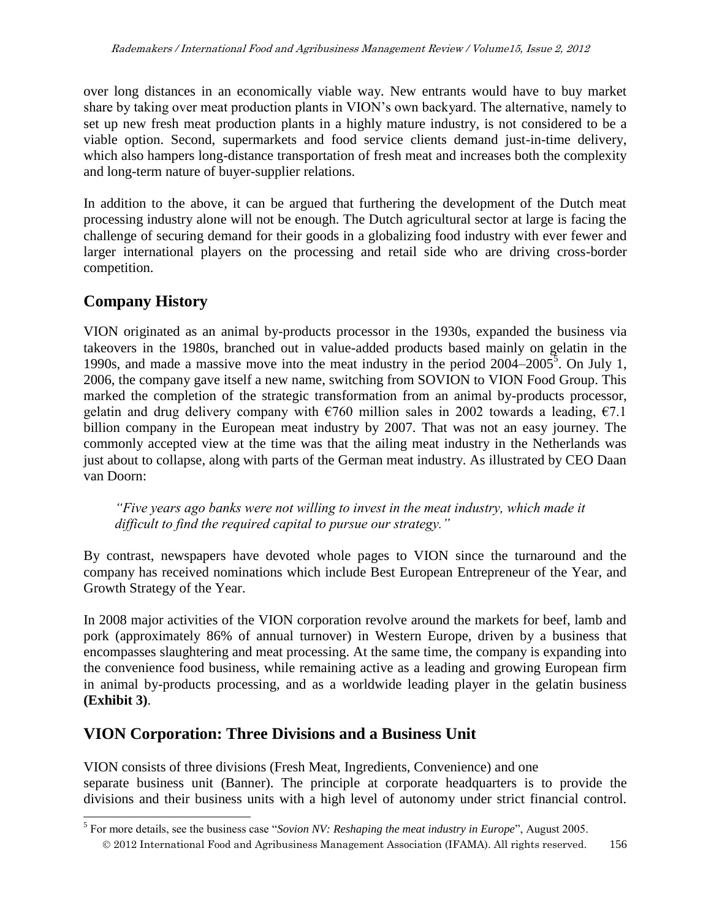over long distances in an economically viable way. New entrants would have to buy market share by taking over meat production plants in VION's own backyard. The alternative, namely to set up new fresh meat production plants in a highly mature industry, is not considered to be a viable option. Second, supermarkets and food service clients demand just-in-time delivery, which also hampers long-distance transportation of fresh meat and increases both the complexity and long-term nature of buyer-supplier relations.

In addition to the above, it can be argued that furthering the development of the Dutch meat processing industry alone will not be enough. The Dutch agricultural sector at large is facing the challenge of securing demand for their goods in a globalizing food industry with ever fewer and larger international players on the processing and retail side who are driving cross-border competition.

# **Company History**

 $\overline{a}$ 

VION originated as an animal by-products processor in the 1930s, expanded the business via takeovers in the 1980s, branched out in value-added products based mainly on gelatin in the 1990s, and made a massive move into the meat industry in the period  $2004-2005^5$ . On July 1, 2006, the company gave itself a new name, switching from SOVION to VION Food Group. This marked the completion of the strategic transformation from an animal by-products processor, gelatin and drug delivery company with  $\epsilon$ 760 million sales in 2002 towards a leading,  $\epsilon$ 7.1 billion company in the European meat industry by 2007. That was not an easy journey. The commonly accepted view at the time was that the ailing meat industry in the Netherlands was just about to collapse, along with parts of the German meat industry. As illustrated by CEO Daan van Doorn:

*"Five years ago banks were not willing to invest in the meat industry, which made it difficult to find the required capital to pursue our strategy."*

By contrast, newspapers have devoted whole pages to VION since the turnaround and the company has received nominations which include Best European Entrepreneur of the Year, and Growth Strategy of the Year.

In 2008 major activities of the VION corporation revolve around the markets for beef, lamb and pork (approximately 86% of annual turnover) in Western Europe, driven by a business that encompasses slaughtering and meat processing. At the same time, the company is expanding into the convenience food business, while remaining active as a leading and growing European firm in animal by-products processing, and as a worldwide leading player in the gelatin business **(Exhibit 3)**.

# **VION Corporation: Three Divisions and a Business Unit**

VION consists of three divisions (Fresh Meat, Ingredients, Convenience) and one separate business unit (Banner). The principle at corporate headquarters is to provide the divisions and their business units with a high level of autonomy under strict financial control.

<sup>5</sup> For more details, see the business case "*Sovion NV: Reshaping the meat industry in Europe*", August 2005.

2012 International Food and Agribusiness Management Association (IFAMA). All rights reserved. 156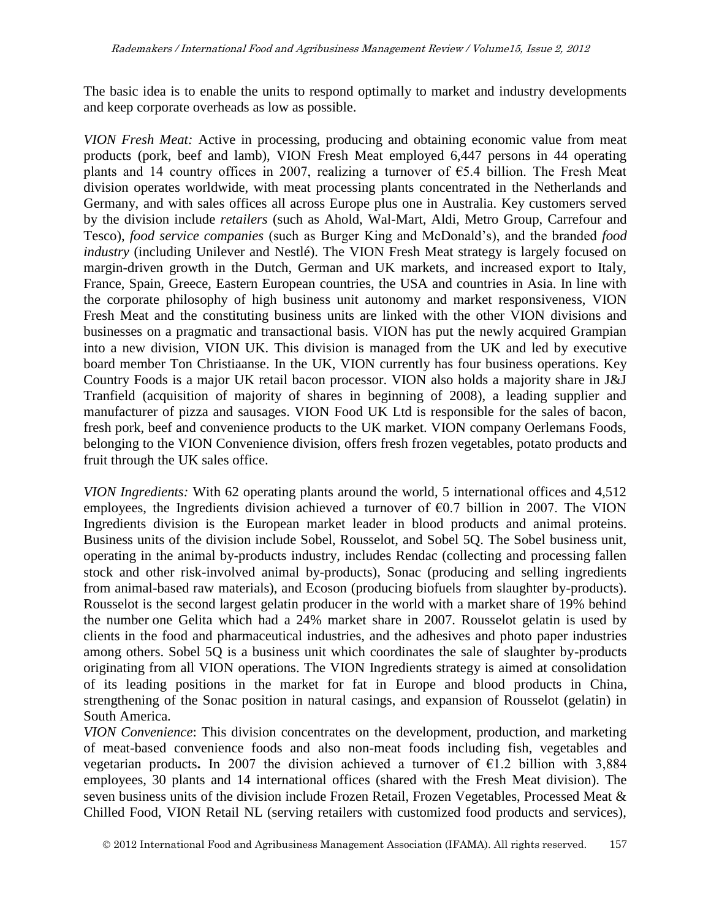The basic idea is to enable the units to respond optimally to market and industry developments and keep corporate overheads as low as possible.

*VION Fresh Meat:* Active in processing, producing and obtaining economic value from meat products (pork, beef and lamb), VION Fresh Meat employed 6,447 persons in 44 operating plants and 14 country offices in 2007, realizing a turnover of €5.4 billion. The Fresh Meat division operates worldwide, with meat processing plants concentrated in the Netherlands and Germany, and with sales offices all across Europe plus one in Australia. Key customers served by the division include *retailers* (such as Ahold, Wal-Mart, Aldi, Metro Group, Carrefour and Tesco), *food service companies* (such as Burger King and McDonald's), and the branded *food industry* (including Unilever and Nestlé). The VION Fresh Meat strategy is largely focused on margin-driven growth in the Dutch, German and UK markets, and increased export to Italy, France, Spain, Greece, Eastern European countries, the USA and countries in Asia. In line with the corporate philosophy of high business unit autonomy and market responsiveness, VION Fresh Meat and the constituting business units are linked with the other VION divisions and businesses on a pragmatic and transactional basis. VION has put the newly acquired Grampian into a new division, VION UK. This division is managed from the UK and led by executive board member Ton Christiaanse. In the UK, VION currently has four business operations. Key Country Foods is a major UK retail bacon processor. VION also holds a majority share in J&J Tranfield (acquisition of majority of shares in beginning of 2008), a leading supplier and manufacturer of pizza and sausages. VION Food UK Ltd is responsible for the sales of bacon, fresh pork, beef and convenience products to the UK market. VION company Oerlemans Foods, belonging to the VION Convenience division, offers fresh frozen vegetables, potato products and fruit through the UK sales office.

*VION Ingredients:* With 62 operating plants around the world, 5 international offices and 4,512 employees, the Ingredients division achieved a turnover of  $E$ 0.7 billion in 2007. The VION Ingredients division is the European market leader in blood products and animal proteins. Business units of the division include Sobel, Rousselot, and Sobel 5Q. The Sobel business unit, operating in the animal by-products industry, includes Rendac (collecting and processing fallen stock and other risk-involved animal by-products), Sonac (producing and selling ingredients from animal-based raw materials), and Ecoson (producing biofuels from slaughter by-products). Rousselot is the second largest gelatin producer in the world with a market share of 19% behind the number one Gelita which had a 24% market share in 2007. Rousselot gelatin is used by clients in the food and pharmaceutical industries, and the adhesives and photo paper industries among others. Sobel 5Q is a business unit which coordinates the sale of slaughter by-products originating from all VION operations. The VION Ingredients strategy is aimed at consolidation of its leading positions in the market for fat in Europe and blood products in China, strengthening of the Sonac position in natural casings, and expansion of Rousselot (gelatin) in South America.

*VION Convenience*: This division concentrates on the development, production, and marketing of meat-based convenience foods and also non-meat foods including fish, vegetables and vegetarian products**.** In 2007 the division achieved a turnover of €1.2 billion with 3,884 employees, 30 plants and 14 international offices (shared with the Fresh Meat division). The seven business units of the division include Frozen Retail, Frozen Vegetables, Processed Meat & Chilled Food, VION Retail NL (serving retailers with customized food products and services),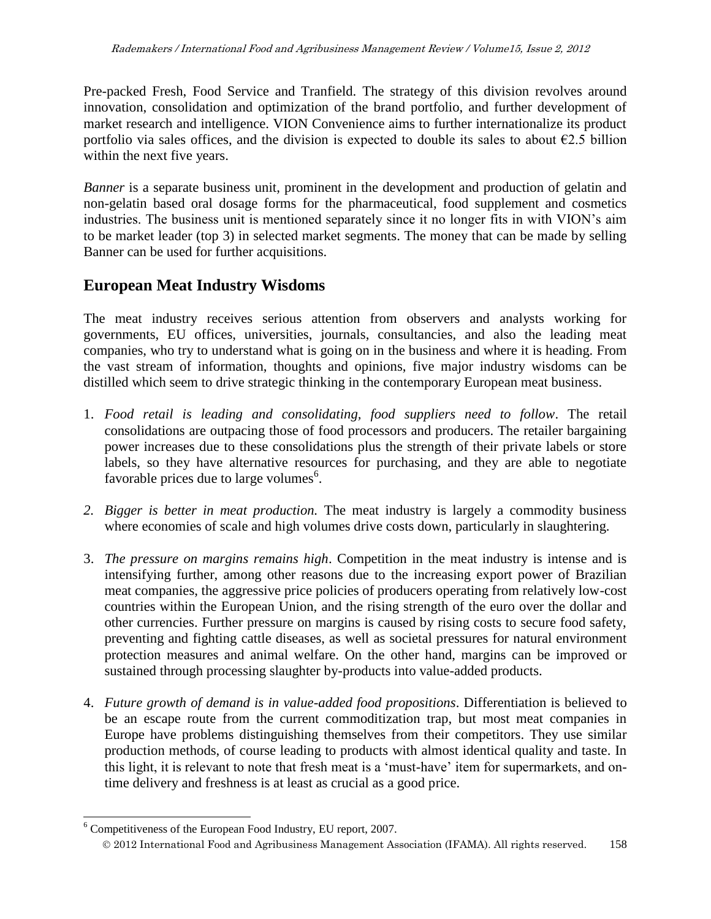Pre-packed Fresh, Food Service and Tranfield. The strategy of this division revolves around innovation, consolidation and optimization of the brand portfolio, and further development of market research and intelligence. VION Convenience aims to further internationalize its product portfolio via sales offices, and the division is expected to double its sales to about  $\epsilon$ 2.5 billion within the next five years.

*Banner* is a separate business unit, prominent in the development and production of gelatin and non-gelatin based oral dosage forms for the pharmaceutical, food supplement and cosmetics industries. The business unit is mentioned separately since it no longer fits in with VION's aim to be market leader (top 3) in selected market segments. The money that can be made by selling Banner can be used for further acquisitions.

# **European Meat Industry Wisdoms**

The meat industry receives serious attention from observers and analysts working for governments, EU offices, universities, journals, consultancies, and also the leading meat companies, who try to understand what is going on in the business and where it is heading. From the vast stream of information, thoughts and opinions, five major industry wisdoms can be distilled which seem to drive strategic thinking in the contemporary European meat business.

- 1. *Food retail is leading and consolidating, food suppliers need to follow*. The retail consolidations are outpacing those of food processors and producers. The retailer bargaining power increases due to these consolidations plus the strength of their private labels or store labels, so they have alternative resources for purchasing, and they are able to negotiate favorable prices due to large volumes<sup>6</sup>.
- *2. Bigger is better in meat production.* The meat industry is largely a commodity business where economies of scale and high volumes drive costs down, particularly in slaughtering.
- 3. *The pressure on margins remains high*. Competition in the meat industry is intense and is intensifying further, among other reasons due to the increasing export power of Brazilian meat companies, the aggressive price policies of producers operating from relatively low-cost countries within the European Union, and the rising strength of the euro over the dollar and other currencies. Further pressure on margins is caused by rising costs to secure food safety, preventing and fighting cattle diseases, as well as societal pressures for natural environment protection measures and animal welfare. On the other hand, margins can be improved or sustained through processing slaughter by-products into value-added products.
- 4. *Future growth of demand is in value-added food propositions*. Differentiation is believed to be an escape route from the current commoditization trap, but most meat companies in Europe have problems distinguishing themselves from their competitors. They use similar production methods, of course leading to products with almost identical quality and taste. In this light, it is relevant to note that fresh meat is a 'must-have' item for supermarkets, and ontime delivery and freshness is at least as crucial as a good price.

 $\overline{a}$ 

 $6$  Competitiveness of the European Food Industry, EU report, 2007.

2012 International Food and Agribusiness Management Association (IFAMA). All rights reserved. 158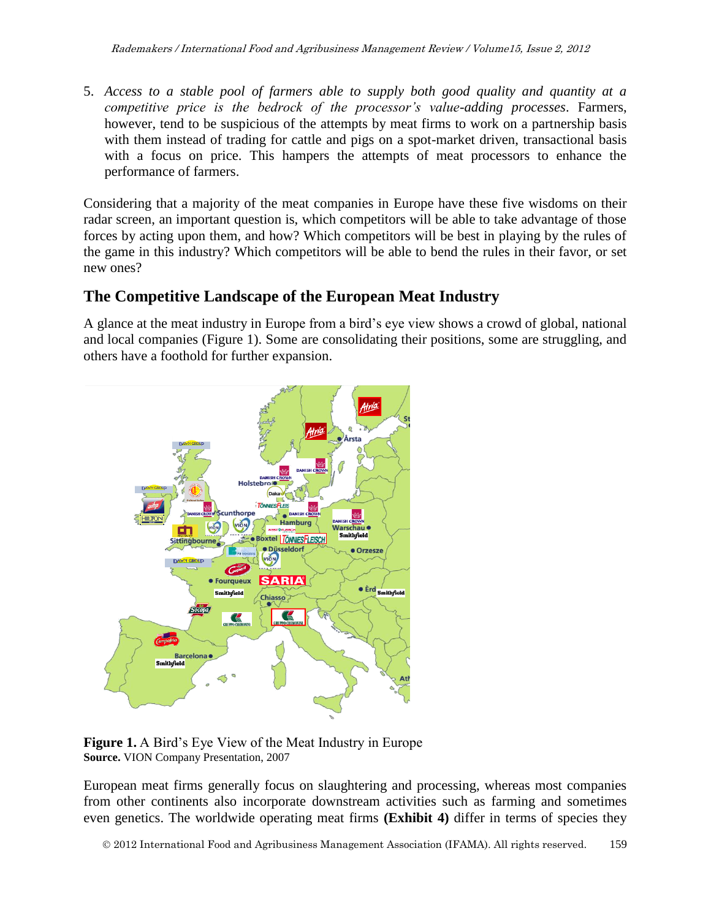5. *Access to a stable pool of farmers able to supply both good quality and quantity at a competitive price is the bedrock of the processor's value-adding processes*. Farmers, however, tend to be suspicious of the attempts by meat firms to work on a partnership basis with them instead of trading for cattle and pigs on a spot-market driven, transactional basis with a focus on price. This hampers the attempts of meat processors to enhance the performance of farmers.

Considering that a majority of the meat companies in Europe have these five wisdoms on their radar screen, an important question is, which competitors will be able to take advantage of those forces by acting upon them, and how? Which competitors will be best in playing by the rules of the game in this industry? Which competitors will be able to bend the rules in their favor, or set new ones?

# **The Competitive Landscape of the European Meat Industry**

A glance at the meat industry in Europe from a bird's eye view shows a crowd of global, national and local companies (Figure 1). Some are consolidating their positions, some are struggling, and others have a foothold for further expansion.



**Figure 1.** A Bird's Eye View of the Meat Industry in Europe **Source.** VION Company Presentation, 2007

European meat firms generally focus on slaughtering and processing, whereas most companies from other continents also incorporate downstream activities such as farming and sometimes even genetics. The worldwide operating meat firms **(Exhibit 4)** differ in terms of species they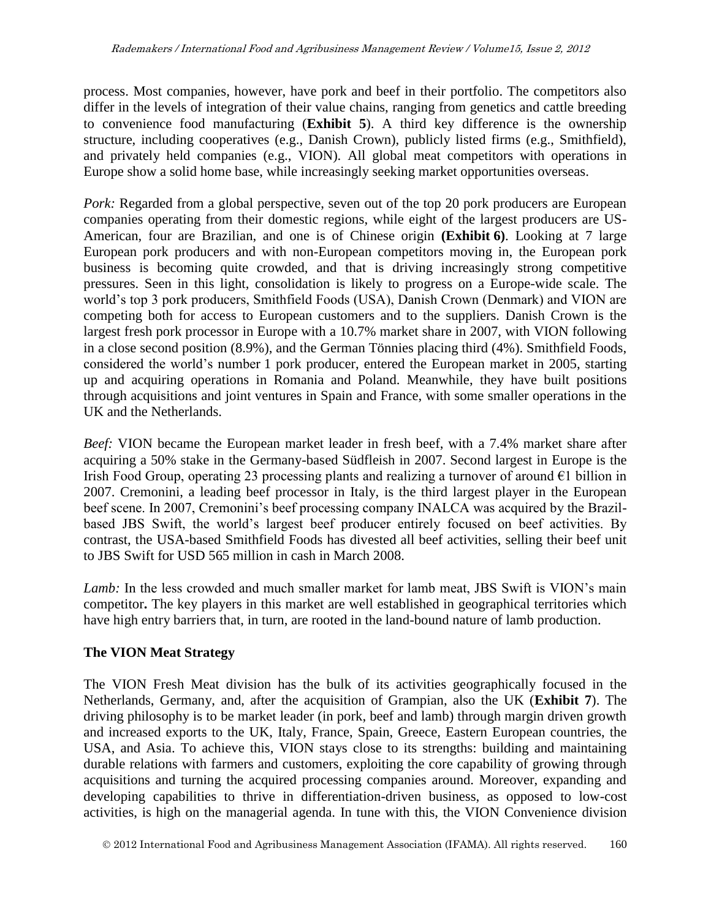process. Most companies, however, have pork and beef in their portfolio. The competitors also differ in the levels of integration of their value chains, ranging from genetics and cattle breeding to convenience food manufacturing (**Exhibit 5**). A third key difference is the ownership structure, including cooperatives (e.g., Danish Crown), publicly listed firms (e.g., Smithfield), and privately held companies (e.g., VION). All global meat competitors with operations in Europe show a solid home base, while increasingly seeking market opportunities overseas.

*Pork:* Regarded from a global perspective, seven out of the top 20 pork producers are European companies operating from their domestic regions, while eight of the largest producers are US-American, four are Brazilian, and one is of Chinese origin **(Exhibit 6)**. Looking at 7 large European pork producers and with non-European competitors moving in, the European pork business is becoming quite crowded, and that is driving increasingly strong competitive pressures. Seen in this light, consolidation is likely to progress on a Europe-wide scale. The world's top 3 pork producers, Smithfield Foods (USA), Danish Crown (Denmark) and VION are competing both for access to European customers and to the suppliers. Danish Crown is the largest fresh pork processor in Europe with a 10.7% market share in 2007, with VION following in a close second position (8.9%), and the German Tönnies placing third (4%). Smithfield Foods, considered the world's number 1 pork producer, entered the European market in 2005, starting up and acquiring operations in Romania and Poland. Meanwhile, they have built positions through acquisitions and joint ventures in Spain and France, with some smaller operations in the UK and the Netherlands.

*Beef:* VION became the European market leader in fresh beef, with a 7.4% market share after acquiring a 50% stake in the Germany-based Südfleish in 2007. Second largest in Europe is the Irish Food Group, operating 23 processing plants and realizing a turnover of around  $\epsilon$ 1 billion in 2007. Cremonini, a leading beef processor in Italy, is the third largest player in the European beef scene. In 2007, Cremonini's beef processing company INALCA was acquired by the Brazilbased JBS Swift, the world's largest beef producer entirely focused on beef activities. By contrast, the USA-based Smithfield Foods has divested all beef activities, selling their beef unit to JBS Swift for USD 565 million in cash in March 2008.

*Lamb:* In the less crowded and much smaller market for lamb meat, JBS Swift is VION's main competitor**.** The key players in this market are well established in geographical territories which have high entry barriers that, in turn, are rooted in the land-bound nature of lamb production.

#### **The VION Meat Strategy**

The VION Fresh Meat division has the bulk of its activities geographically focused in the Netherlands, Germany, and, after the acquisition of Grampian, also the UK (**Exhibit 7**). The driving philosophy is to be market leader (in pork, beef and lamb) through margin driven growth and increased exports to the UK, Italy, France, Spain, Greece, Eastern European countries, the USA, and Asia. To achieve this, VION stays close to its strengths: building and maintaining durable relations with farmers and customers, exploiting the core capability of growing through acquisitions and turning the acquired processing companies around. Moreover, expanding and developing capabilities to thrive in differentiation-driven business, as opposed to low-cost activities, is high on the managerial agenda. In tune with this, the VION Convenience division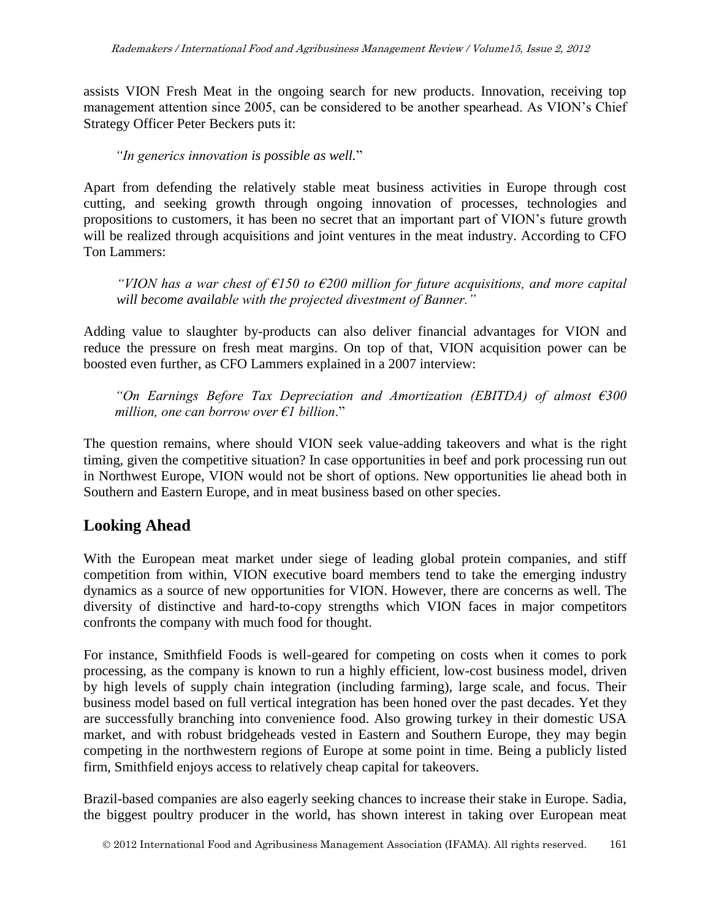assists VION Fresh Meat in the ongoing search for new products. Innovation, receiving top management attention since 2005, can be considered to be another spearhead. As VION's Chief Strategy Officer Peter Beckers puts it:

*"In generics innovation is possible as well.*"

Apart from defending the relatively stable meat business activities in Europe through cost cutting, and seeking growth through ongoing innovation of processes, technologies and propositions to customers, it has been no secret that an important part of VION's future growth will be realized through acquisitions and joint ventures in the meat industry. According to CFO Ton Lammers:

*"VION has a war chest of €150 to €200 million for future acquisitions, and more capital will become available with the projected divestment of Banner."*

Adding value to slaughter by-products can also deliver financial advantages for VION and reduce the pressure on fresh meat margins. On top of that, VION acquisition power can be boosted even further, as CFO Lammers explained in a 2007 interview:

*"On Earnings Before Tax Depreciation and Amortization (EBITDA) of almost €300 million, one can borrow over €1 billion*."

The question remains, where should VION seek value-adding takeovers and what is the right timing, given the competitive situation? In case opportunities in beef and pork processing run out in Northwest Europe, VION would not be short of options. New opportunities lie ahead both in Southern and Eastern Europe, and in meat business based on other species.

# **Looking Ahead**

With the European meat market under siege of leading global protein companies, and stiff competition from within, VION executive board members tend to take the emerging industry dynamics as a source of new opportunities for VION. However, there are concerns as well. The diversity of distinctive and hard-to-copy strengths which VION faces in major competitors confronts the company with much food for thought.

For instance, Smithfield Foods is well-geared for competing on costs when it comes to pork processing, as the company is known to run a highly efficient, low-cost business model, driven by high levels of supply chain integration (including farming), large scale, and focus. Their business model based on full vertical integration has been honed over the past decades. Yet they are successfully branching into convenience food. Also growing turkey in their domestic USA market, and with robust bridgeheads vested in Eastern and Southern Europe, they may begin competing in the northwestern regions of Europe at some point in time. Being a publicly listed firm, Smithfield enjoys access to relatively cheap capital for takeovers.

Brazil-based companies are also eagerly seeking chances to increase their stake in Europe. Sadia, the biggest poultry producer in the world, has shown interest in taking over European meat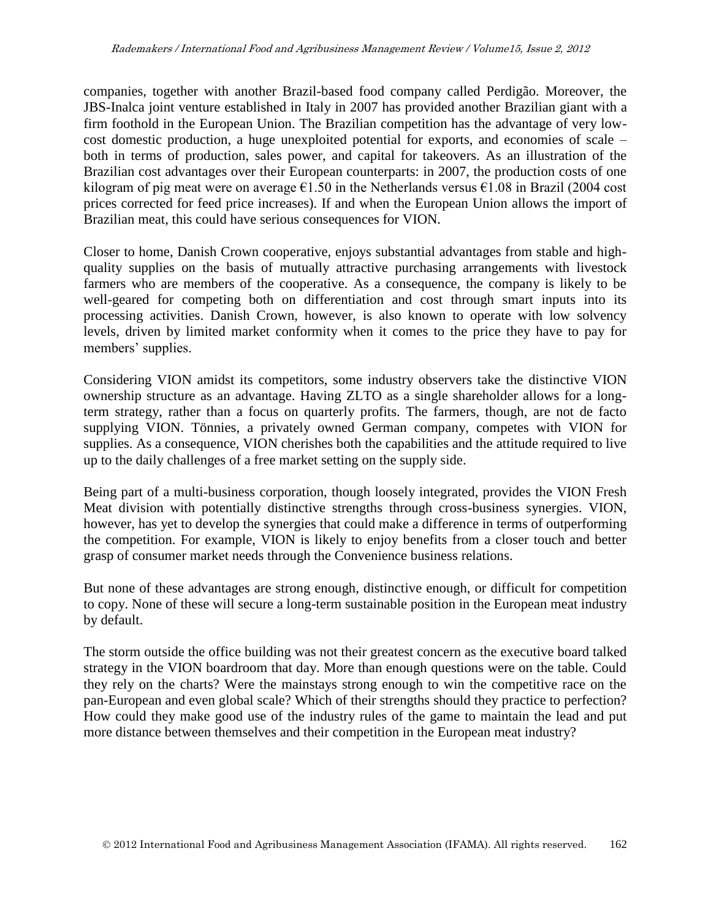companies, together with another Brazil-based food company called Perdigão. Moreover, the JBS-Inalca joint venture established in Italy in 2007 has provided another Brazilian giant with a firm foothold in the European Union. The Brazilian competition has the advantage of very lowcost domestic production, a huge unexploited potential for exports, and economies of scale – both in terms of production, sales power, and capital for takeovers. As an illustration of the Brazilian cost advantages over their European counterparts: in 2007, the production costs of one kilogram of pig meat were on average €1.50 in the Netherlands versus €1.08 in Brazil (2004 cost prices corrected for feed price increases). If and when the European Union allows the import of Brazilian meat, this could have serious consequences for VION.

Closer to home, Danish Crown cooperative, enjoys substantial advantages from stable and highquality supplies on the basis of mutually attractive purchasing arrangements with livestock farmers who are members of the cooperative. As a consequence, the company is likely to be well-geared for competing both on differentiation and cost through smart inputs into its processing activities. Danish Crown, however, is also known to operate with low solvency levels, driven by limited market conformity when it comes to the price they have to pay for members' supplies.

Considering VION amidst its competitors, some industry observers take the distinctive VION ownership structure as an advantage. Having ZLTO as a single shareholder allows for a longterm strategy, rather than a focus on quarterly profits. The farmers, though, are not de facto supplying VION. Tönnies, a privately owned German company, competes with VION for supplies. As a consequence, VION cherishes both the capabilities and the attitude required to live up to the daily challenges of a free market setting on the supply side.

Being part of a multi-business corporation, though loosely integrated, provides the VION Fresh Meat division with potentially distinctive strengths through cross-business synergies. VION, however, has yet to develop the synergies that could make a difference in terms of outperforming the competition. For example, VION is likely to enjoy benefits from a closer touch and better grasp of consumer market needs through the Convenience business relations.

But none of these advantages are strong enough, distinctive enough, or difficult for competition to copy. None of these will secure a long-term sustainable position in the European meat industry by default.

The storm outside the office building was not their greatest concern as the executive board talked strategy in the VION boardroom that day. More than enough questions were on the table. Could they rely on the charts? Were the mainstays strong enough to win the competitive race on the pan-European and even global scale? Which of their strengths should they practice to perfection? How could they make good use of the industry rules of the game to maintain the lead and put more distance between themselves and their competition in the European meat industry?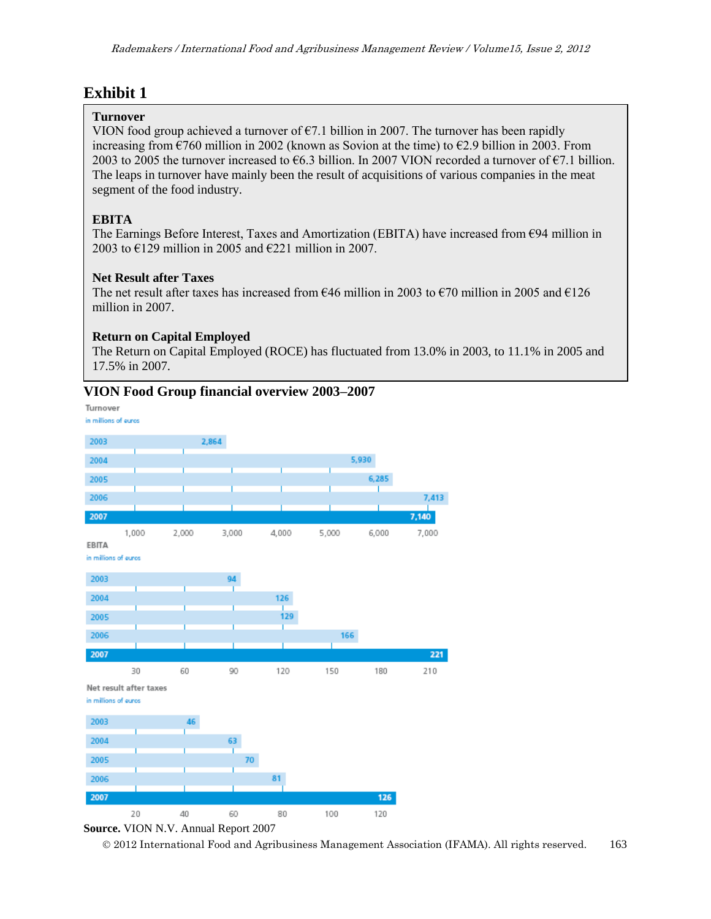# **Exhibit 1**

#### **Turnover**

VION food group achieved a turnover of  $\epsilon$ 7.1 billion in 2007. The turnover has been rapidly increasing from  $\epsilon$ 760 million in 2002 (known as Sovion at the time) to  $\epsilon$ 2.9 billion in 2003. From 2003 to 2005 the turnover increased to  $66.3$  billion. In 2007 VION recorded a turnover of  $67.1$  billion. The leaps in turnover have mainly been the result of acquisitions of various companies in the meat segment of the food industry.

### **EBITA**

The Earnings Before Interest, Taxes and Amortization (EBITA) have increased from  $\epsilon$ 94 million in 2003 to  $E129$  million in 2005 and  $E221$  million in 2007.

#### **Net Result after Taxes**

The net result after taxes has increased from  $646$  million in 2003 to  $670$  million in 2005 and  $6126$ million in 2007.

#### **Return on Capital Employed**

The Return on Capital Employed (ROCE) has fluctuated from 13.0% in 2003, to 11.1% in 2005 and 17.5% in 2007.

### **VION Food Group financial overview 2003–2007**





2012 International Food and Agribusiness Management Association (IFAMA). All rights reserved. 163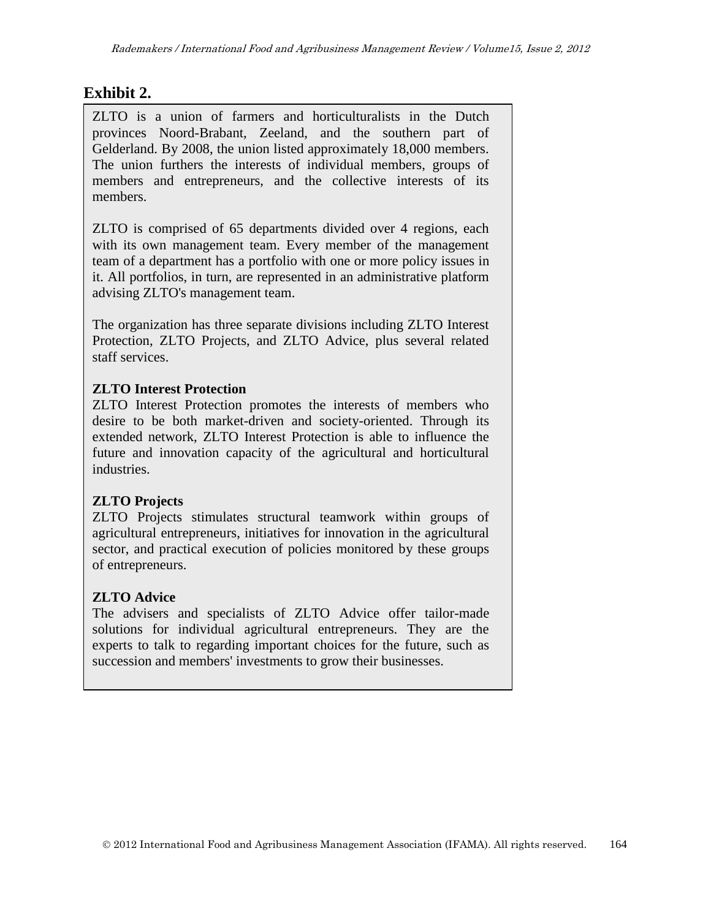## **Exhibit 2.**

ZLTO is a union of farmers and horticulturalists in the Dutch provinces Noord-Brabant, Zeeland, and the southern part of Gelderland. By 2008, the union listed approximately 18,000 members. The union furthers the interests of individual members, groups of members and entrepreneurs, and the collective interests of its members.

ZLTO is comprised of 65 departments divided over 4 regions, each with its own management team. Every member of the management team of a department has a portfolio with one or more policy issues in it. All portfolios, in turn, are represented in an administrative platform advising ZLTO's management team.

The organization has three separate divisions including ZLTO Interest Protection, ZLTO Projects, and ZLTO Advice, plus several related staff services.

### **ZLTO Interest Protection**

ZLTO Interest Protection promotes the interests of members who desire to be both market-driven and society-oriented. Through its extended network, ZLTO Interest Protection is able to influence the future and innovation capacity of the agricultural and horticultural industries.

### **ZLTO Projects**

ZLTO Projects stimulates structural teamwork within groups of agricultural entrepreneurs, initiatives for innovation in the agricultural sector, and practical execution of policies monitored by these groups of entrepreneurs.

### **ZLTO Advice**

The advisers and specialists of ZLTO Advice offer tailor-made solutions for individual agricultural entrepreneurs. They are the experts to talk to regarding important choices for the future, such as succession and members' investments to grow their businesses.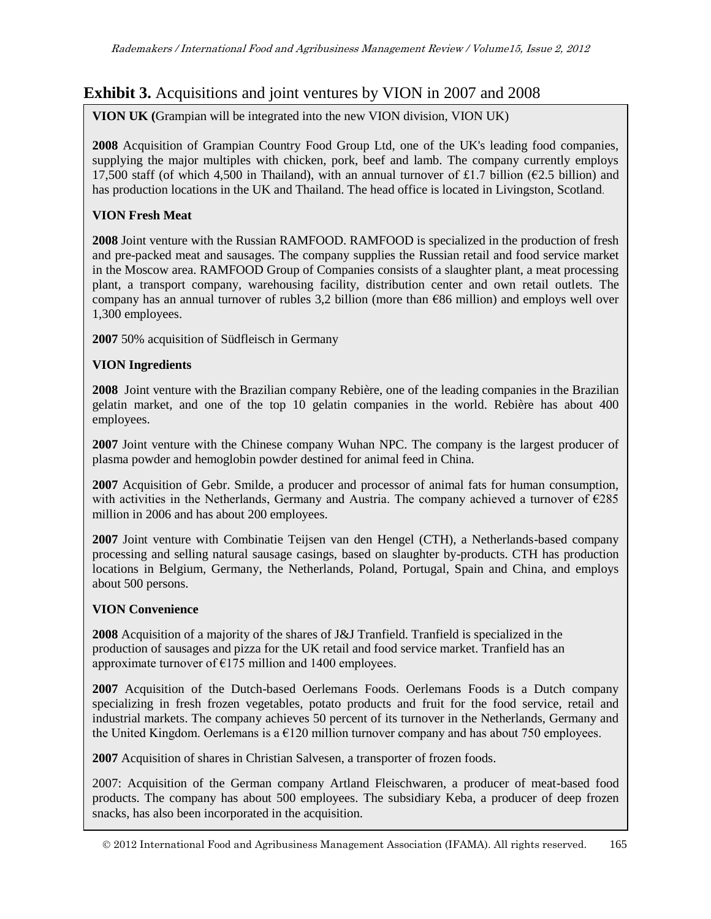## **Exhibit 3.** Acquisitions and joint ventures by VION in 2007 and 2008

**VION UK (**Grampian will be integrated into the new VION division, VION UK)

**2008** Acquisition of Grampian Country Food Group Ltd, one of the UK's leading food companies, supplying the major multiples with chicken, pork, beef and lamb. The company currently employs 17,500 staff (of which 4,500 in Thailand), with an annual turnover of £1.7 billion ( $E2.5$  billion) and has production locations in the UK and Thailand. The head office is located in Livingston, Scotland.

### **VION Fresh Meat**

**2008** Joint venture with the Russian RAMFOOD. RAMFOOD is specialized in the production of fresh and pre-packed meat and sausages. The company supplies the Russian retail and food service market in the Moscow area. RAMFOOD Group of Companies consists of a slaughter plant, a meat processing plant, a transport company, warehousing facility, distribution center and own retail outlets. The company has an annual turnover of rubles 3,2 billion (more than €86 million) and employs well over 1,300 employees.

**2007** 50% acquisition of Südfleisch in Germany

#### **VION Ingredients**

**2008** Joint venture with the Brazilian company Rebière, one of the leading companies in the Brazilian gelatin market, and one of the top 10 gelatin companies in the world. Rebière has about 400 employees.

**2007** Joint venture with the Chinese company Wuhan NPC. The company is the largest producer of plasma powder and hemoglobin powder destined for animal feed in China.

**2007** Acquisition of Gebr. Smilde, a producer and processor of animal fats for human consumption, with activities in the Netherlands, Germany and Austria. The company achieved a turnover of  $\epsilon$ 285 million in 2006 and has about 200 employees.

**2007** Joint venture with Combinatie Teijsen van den Hengel (CTH), a Netherlands-based company processing and selling natural sausage casings, based on slaughter by-products. CTH has production locations in Belgium, Germany, the Netherlands, Poland, Portugal, Spain and China, and employs about 500 persons.

### **VION Convenience**

**2008** Acquisition of a majority of the shares of J&J Tranfield. Tranfield is specialized in the production of sausages and pizza for the UK retail and food service market. Tranfield has an approximate turnover of  $E175$  million and 1400 employees.

**2007** Acquisition of the Dutch-based Oerlemans Foods. Oerlemans Foods is a Dutch company specializing in fresh frozen vegetables, potato products and fruit for the food service, retail and industrial markets. The company achieves 50 percent of its turnover in the Netherlands, Germany and the United Kingdom. Oerlemans is a  $E120$  million turnover company and has about 750 employees.

**2007** Acquisition of shares in Christian Salvesen, a transporter of frozen foods.

2007: Acquisition of the German company Artland Fleischwaren, a producer of meat-based food products. The company has about 500 employees. The subsidiary Keba, a producer of deep frozen snacks, has also been incorporated in the acquisition.

2012 International Food and Agribusiness Management Association (IFAMA). All rights reserved. 165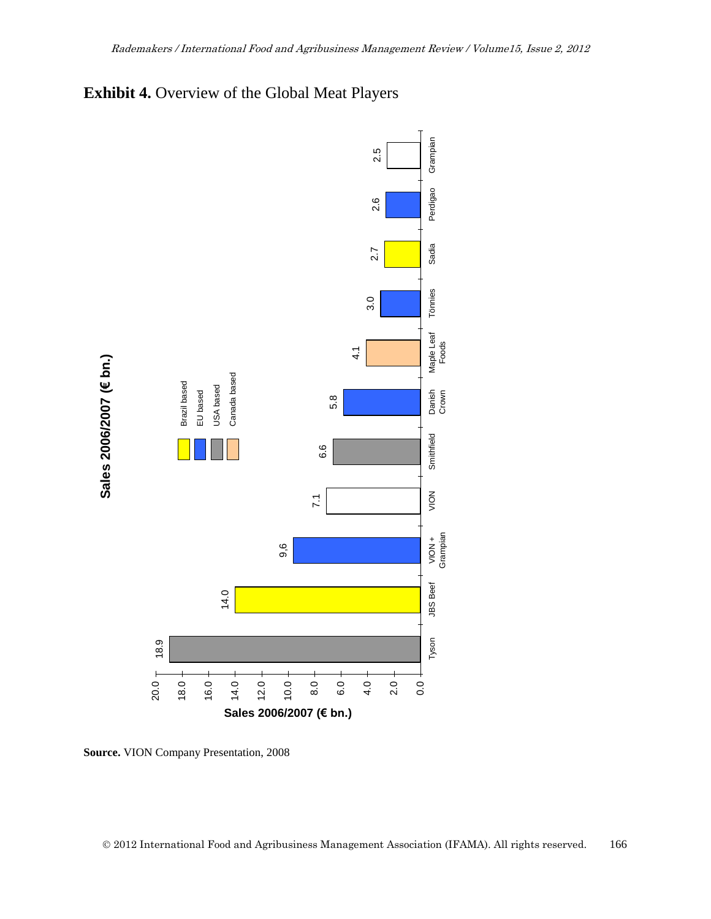



**Source.** VION Company Presentation, 2008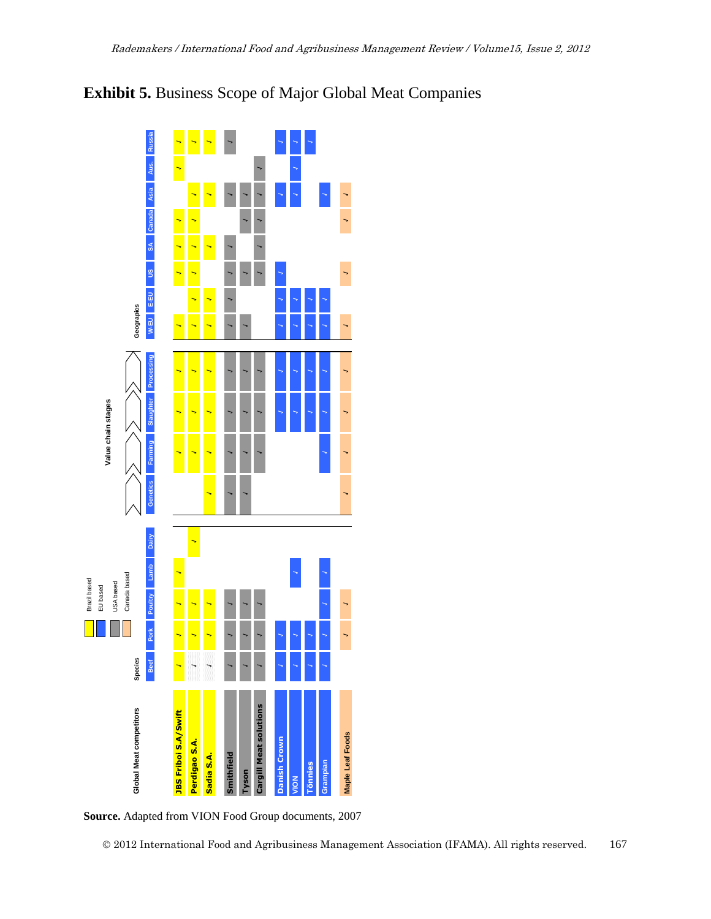

# **Exhibit 5.** Business Scope of Major Global Meat Companies

Rademakers / International Food and Agribusiness Management Review / Volume15, Issue 2, 2012

**Source.** Adapted from VION Food Group documents, 2007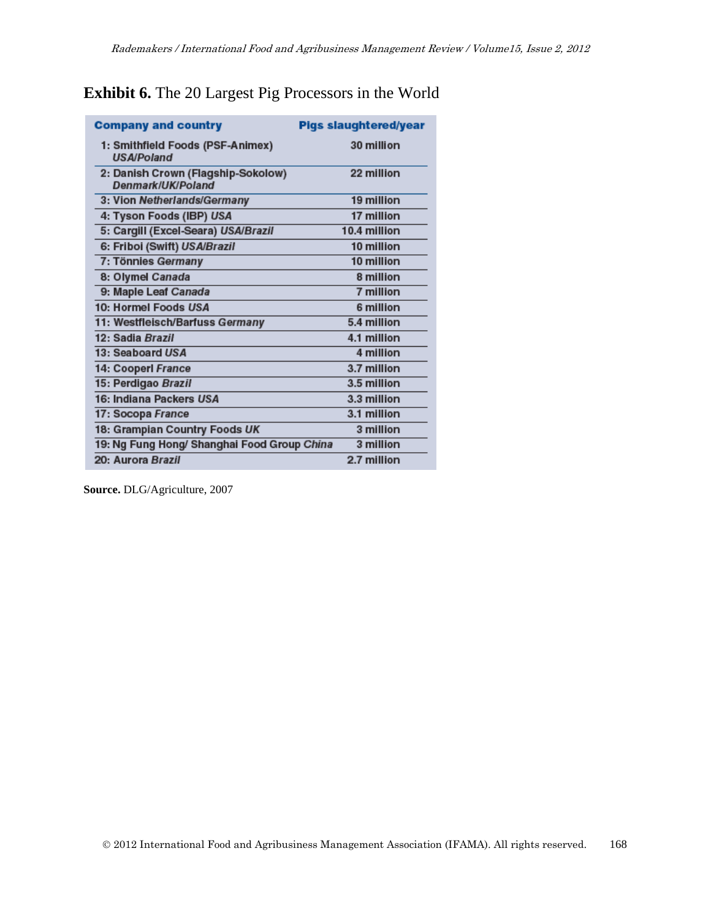# **Exhibit 6.** The 20 Largest Pig Processors in the World

| <b>Company and country</b>                              | <b>Pigs slaughtered/year</b> |
|---------------------------------------------------------|------------------------------|
| 1: Smithfield Foods (PSF-Animex)<br><b>USA/Poland</b>   | 30 million                   |
| 2: Danish Crown (Flagship-Sokolow)<br>Denmark/UK/Poland | 22 million                   |
| 3: Vion Netherlands/Germany                             | 19 million                   |
| 4: Tyson Foods (IBP) USA                                | 17 million                   |
| 5: Cargill (Excel-Seara) USA/Brazil                     | 10.4 million                 |
| 6: Friboi (Swift) USA/Brazil                            | 10 million                   |
| 7: Tönnies Germany                                      | 10 million                   |
| 8: Olymel Canada                                        | 8 million                    |
| 9: Maple Leaf Canada                                    | 7 million                    |
| 10: Hormel Foods USA                                    | 6 million                    |
| 11: Westfleisch/Barfuss Germany                         | 5.4 million                  |
| 12: Sadia Brazil                                        | 4.1 million                  |
| 13: Seaboard USA                                        | 4 million                    |
| 14: Cooperl France                                      | 3.7 million                  |
| 15: Perdigao Brazil                                     | 3.5 million                  |
| 16: Indiana Packers USA                                 | 3.3 million                  |
| 17: Socopa France                                       | 3.1 million                  |
| 18: Grampian Country Foods UK                           | 3 million                    |
| 19: Ng Fung Hong/ Shanghai Food Group China             | 3 million                    |
| 20: Aurora Brazil                                       | 2.7 million                  |

**Source.** DLG/Agriculture, 2007